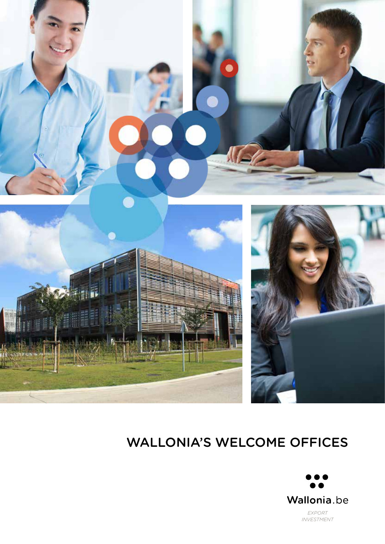





### WALLONIA'S WELCOME OFFICES

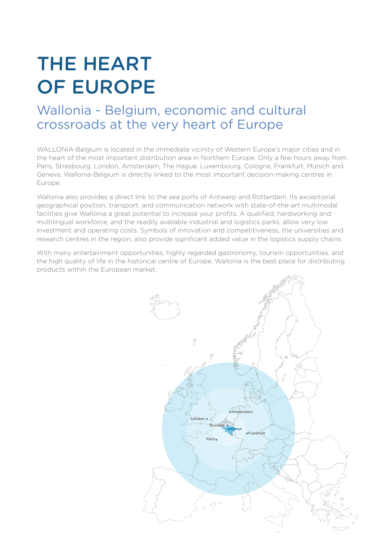## THE HEART OF EUROPE

### Wallonia - Belgium, economic and cultural crossroads at the very heart of Europe

WALLONIA-Belgium is located in the immediate vicinity of Western Europe's major cities and in the heart of the most important distribution area in Northern Europe. Only a few hours away from Paris, Strasbourg, London, Amsterdam, The Hague, Luxembourg, Cologne, Frankfurt, Munich and Geneva, Wallonia-Belgium is directly linked to the most important decision-making centres in Europe.

Wallonia also provides a direct link to the sea ports of Antwerp and Rotterdam. Its exceptional geographical position, transport, and communication network with state-of-the-art multimodal facilities give Wallonia a great potential to increase your profits. A qualified, hardworking and multilingual workforce, and the readily available industrial and logistics parks, allow very low investment and operating costs. Symbols of innovation and competitiveness, the universities and research centres in the region, also provide significant added value in the logistics supply chains.

With many entertainment opportunities, highly regarded gastronomy, tourism opportunities, and the high quality of life in the historical centre of Europe, Wallonia is the best place for distributing products within the European market.

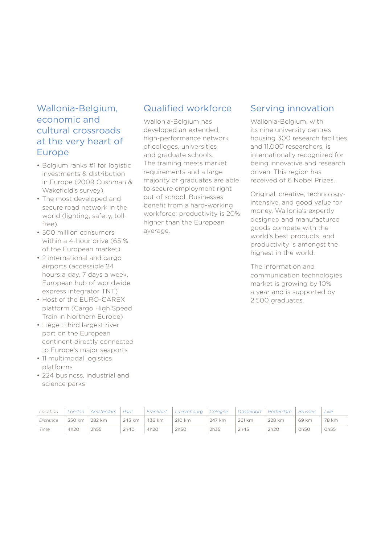#### Wallonia-Belgium, economic and cultural crossroads at the very heart of Europe

- Belgium ranks #1 for logistic investments & distribution in Europe (2009 Cushman & Wakefield's survey)
- The most developed and secure road network in the world (lighting, safety, tollfree)
- 500 million consumers within a 4-hour drive (65 % of the European market)
- 2 international and cargo airports (accessible 24 hours a day, 7 days a week, European hub of worldwide express integrator TNT)
- Host of the EURO-CAREX platform (Cargo High Speed Train in Northern Europe)
- Liège : third largest river port on the European continent directly connected to Europe's major seaports
- 11 multimodal logistics platforms
- 224 business, industrial and science parks

#### Qualified workforce

Wallonia-Belgium has developed an extended, high-performance network of colleges, universities and graduate schools. The training meets market requirements and a large majority of graduates are able to secure employment right out of school. Businesses benefit from a hard-working workforce: productivity is 20% higher than the European average.

#### Serving innovation

Wallonia-Belgium, with its nine university centres housing 300 research facilities and 11,000 researchers, is internationally recognized for being innovative and research driven. This region has received of 6 Nobel Prizes.

Original, creative, technologyintensive, and good value for money, Wallonia's expertly designed and manufactured goods compete with the world's best products, and productivity is amongst the highest in the world.

The information and communication technologies market is growing by 10% a year and is supported by 2,500 graduates.

| Location | London                | Amsterdam | Paris  | Frankfurt | Luxembourg   Cologne |        |        | Düsseldorf   Rotterdam | <b>Brussels</b> | Lille |
|----------|-----------------------|-----------|--------|-----------|----------------------|--------|--------|------------------------|-----------------|-------|
| Distance | , 350 km <sup>+</sup> | 282 km    | 243 km | 436 km    | 210 km               | 247 km | 261 km | 228 km                 | 69 km           | 78 km |
| Time     | 4h20                  | 2h55      | 2h40   | 4h20      | 2h50                 | 2h35   | 2h45   | 2h20                   | <b>Oh50</b>     | Oh55  |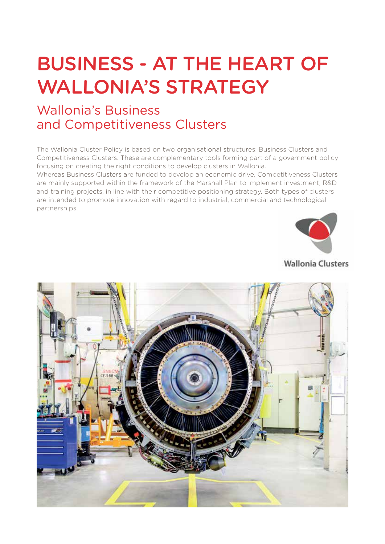## BUSINESS - AT THE HEART OF WALLONIA'S STRATEGY

### Wallonia's Business and Competitiveness Clusters

The Wallonia Cluster Policy is based on two organisational structures: Business Clusters and Competitiveness Clusters. These are complementary tools forming part of a government policy focusing on creating the right conditions to develop clusters in Wallonia.

Whereas Business Clusters are funded to develop an economic drive, Competitiveness Clusters are mainly supported within the framework of the Marshall Plan to implement investment, R&D and training projects, in line with their competitive positioning strategy. Both types of clusters are intended to promote innovation with regard to industrial, commercial and technological partnerships.



#### **Wallonia Clusters**

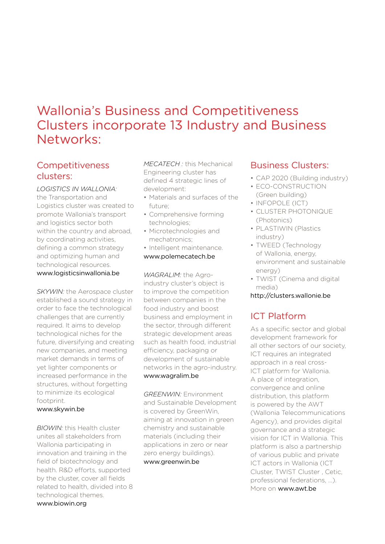### Wallonia's Business and Competitiveness Clusters incorporate 13 Industry and Business Networks:

#### Competitiveness clusters:

*LOGISTICS IN WALLONIA:* the Transportation and Logistics cluster was created to promote Wallonia's transport and logistics sector both within the country and abroad, by coordinating activities, defining a common strategy and optimizing human and technological resources. www.logisticsinwallonia.be

**SKYWIN:** the Aerospace cluster established a sound strategy in order to face the technological challenges that are currently required. It aims to develop technological niches for the future, diversifying and creating new companies, and meeting market demands in terms of yet lighter components or increased performance in the structures, without forgetting to minimize its ecological footprint.

#### www.skywin.be

*BIOWIN:* this Health cluster unites all stakeholders from Wallonia participating in innovation and training in the field of biotechnology and health. R&D efforts, supported by the cluster, cover all fields related to health, divided into 8 technological themes. www.biowin.org

*MECATECH :* this Mechanical Engineering cluster has defined 4 strategic lines of development:

- Materials and surfaces of the future;
- Comprehensive forming technologies;
- Microtechnologies and mechatronics;
- Intelligent maintenance. www.polemecatech.be

*WAGRALIM:* the Agroindustry cluster's object is to improve the competition between companies in the food industry and boost business and employment in the sector, through different strategic development areas such as health food, industrial efficiency, packaging or development of sustainable networks in the agro-industry. www.wagralim.be

*GREENWIN:* Environment and Sustainable Development is covered by GreenWin, aiming at innovation in green chemistry and sustainable materials (including their applications in zero or near zero energy buildings). www.greenwin.be

#### Business Clusters:

- CAP 2020 (Building industry)
- ECO-CONSTRUCTION (Green building)
- INFOPOLE (ICT)
- CLUSTER PHOTONIQUE (Photonics)
- PLASTIWIN (Plastics industry)
- TWEED (Technology of Wallonia, energy, environment and sustainable energy)
- TWIST (Cinema and digital media)
- http://clusters.wallonie.be

### ICT Platform

As a specific sector and global development framework for all other sectors of our society, ICT requires an integrated approach in a real cross-ICT platform for Wallonia. A place of integration, convergence and online distribution, this platform is powered by the AWT (Wallonia Telecommunications Agency), and provides digital governance and a strategic vision for ICT in Wallonia. This platform is also a partnership of various public and private ICT actors in Wallonia (ICT Cluster, TWIST Cluster , Cetic, professional federations, ...). More on www.awt.be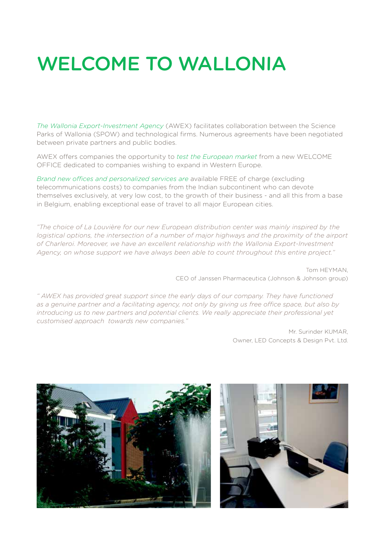# WELCOME TO WALLONIA

*The Wallonia Export-Investment Agency* (AWEX) facilitates collaboration between the Science Parks of Wallonia (SPOW) and technological firms. Numerous agreements have been negotiated between private partners and public bodies.

AWEX offers companies the opportunity to *test the European market* from a new WELCOME OFFICE dedicated to companies wishing to expand in Western Europe.

*Brand new offices and personalized services are* available FREE of charge (excluding telecommunications costs) to companies from the Indian subcontinent who can devote themselves exclusively, at very low cost, to the growth of their business - and all this from a base in Belgium, enabling exceptional ease of travel to all major European cities.

*"The choice of La Louvière for our new European distribution center was mainly inspired by the logistical options, the intersection of a number of major highways and the proximity of the airport of Charleroi. Moreover, we have an excellent relationship with the Wallonia Export-Investment Agency, on whose support we have always been able to count throughout this entire project."*

> Tom HEYMAN, CEO of Janssen Pharmaceutica (Johnson & Johnson group)

*" AWEX has provided great support since the early days of our company. They have functioned as a genuine partner and a facilitating agency, not only by giving us free office space, but also by introducing us to new partners and potential clients. We really appreciate their professional yet customised approach towards new companies."* 

> Mr. Surinder KUMAR, Owner, LED Concepts & Design Pvt. Ltd.



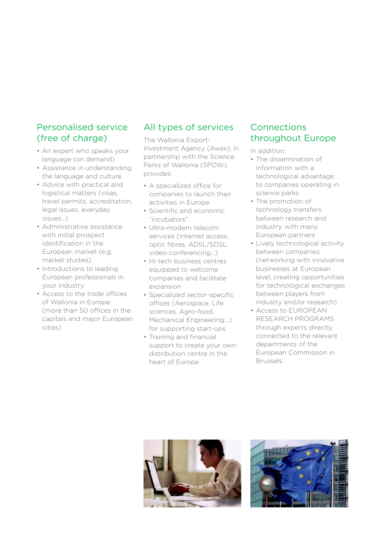#### Personalised service (free of charge)

- An expert who speaks your language (on demand)
- Assistance in understanding the language and culture
- Advice with practical and logistical matters (visas, travel permits, accreditation, legal issues, everyday issues…)
- Administrative assistance with initial prospect identification in the European market (e.g. market studies)
- Introductions to leading European professionals in your industry
- Access to the trade offices of Wallonia in Europe (more than 50 offices in the capitals and major European cities)

#### All types of services

The Wallonia Export-Investment Agency (Awex), in partnership with the Science Parks of Wallonia (SPOW), provides:

- A specialized office for companies to launch their activities in Europe
- Scientific and economic "incubators"
- Ultra-modern telecom services (Internet access, optic fibres, ADSL/SDSL, video-conferencing…)
- Hi-tech business centres equipped to welcome companies and facilitate expansion
- Specialized sector-specific offices (Aerospace, Life sciences, Agro-food, Mechanical Engineering...) for supporting start-ups
- Training and financial support to create your own distribution centre in the heart of Europe

#### **Connections** throughout Europe

In addition:

- The dissemination of information with a technological advantage to companies operating in science parks
- The promotion of technology transfers between research and industry, with many European partners
- Lively technological activity between companies (networking with innovative businesses at European level, creating opportunities for technological exchanges between players from industry and/or research)
- Access to EUROPEAN RESEARCH PROGRAMS through experts directly connected to the relevant departments of the European Commission in Brussels.



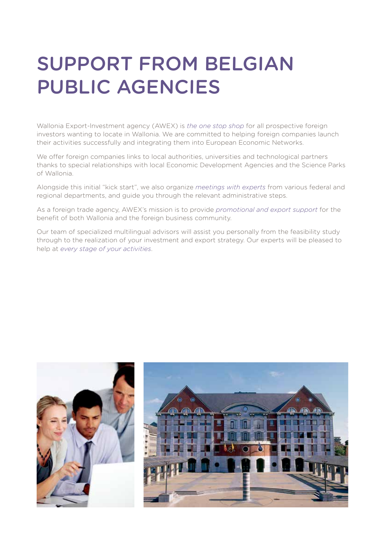## SUPPORT FROM BELGIAN PUBLIC AGENCIES

Wallonia Export-lnvestment agency (AWEX) is *the one stop shop* for all prospective foreign investors wanting to locate in Wallonia. We are committed to helping foreign companies launch their activities successfully and integrating them into European Economic Networks.

We offer foreign companies links to local authorities, universities and technological partners thanks to special relationships with local Economic Development Agencies and the Science Parks of Wallonia.

Alongside this initial "kick start", we also organize *meetings with experts* from various federal and regional departments, and guide you through the relevant administrative steps.

As a foreign trade agency, AWEX's mission is to provide *promotional and export support* for the benefit of both Wallonia and the foreign business community.

Our team of specialized multilingual advisors will assist you personally from the feasibility study through to the realization of your investment and export strategy. Our experts will be pleased to help at *every stage of your activities*.

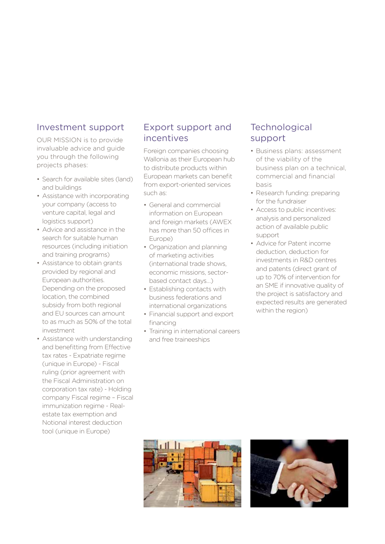#### Investment support

OUR MISSION is to provide invaluable advice and guide you through the following projects phases:

- Search for available sites (land) and buildings
- Assistance with incorporating your company (access to venture capital, legal and logistics support)
- Advice and assistance in the search for suitable human resources (including initiation and training programs)
- Assistance to obtain grants provided by regional and European authorities. Depending on the proposed location, the combined subsidy from both regional and EU sources can amount to as much as 50% of the total investment
- Assistance with understanding and benefitting from Effective tax rates - Expatriate regime (unique in Europe) - Fiscal ruling (prior agreement with the Fiscal Administration on corporation tax rate) - Holding company Fiscal regime – Fiscal immunization regime - Realestate tax exemption and Notional interest deduction tool (unique in Europe)

#### Export support and incentives

Foreign companies choosing Wallonia as their European hub to distribute products within European markets can benefit from export-oriented services such as:

- General and commercial information on European and foreign markets (AWEX has more than 50 offices in Europe)
- Organization and planning of marketing activities (international trade shows, economic missions, sectorbased contact days…)
- Establishing contacts with business federations and international organizations
- Financial support and export financing
- Training in international careers and free traineeships

#### **Technological** support

- Business plans: assessment of the viability of the business plan on a technical, commercial and financial basis
- Research funding: preparing for the fundraiser
- Access to public incentives: analysis and personalized action of available public support
- Advice for Patent income deduction, deduction for investments in R&D centres and patents (direct grant of up to 70% of intervention for an SME if innovative quality of the project is satisfactory and expected results are generated within the region)



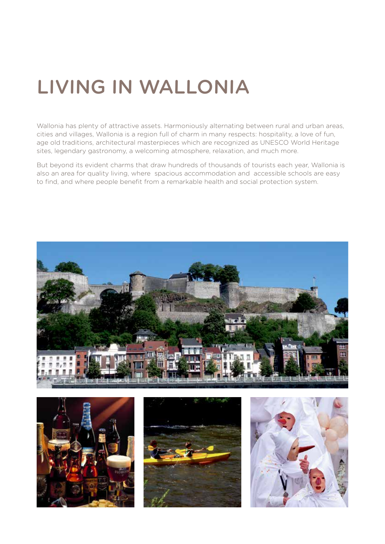# LIVING IN WALLONIA

Wallonia has plenty of attractive assets. Harmoniously alternating between rural and urban areas, cities and villages, Wallonia is a region full of charm in many respects: hospitality, a love of fun, age old traditions, architectural masterpieces which are recognized as UNESCO World Heritage sites, legendary gastronomy, a welcoming atmosphere, relaxation, and much more.

But beyond its evident charms that draw hundreds of thousands of tourists each year, Wallonia is also an area for quality living, where spacious accommodation and accessible schools are easy to find, and where people benefit from a remarkable health and social protection system.







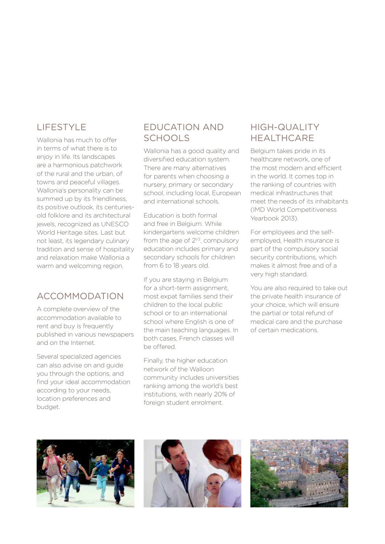#### LIFESTYLE

Wallonia has much to offer in terms of what there is to enjoy in life. Its landscapes are a harmonious patchwork of the rural and the urban, of towns and peaceful villages. Wallonia's personality can be summed up by its friendliness, its positive outlook, its centuriesold folklore and its architectural jewels, recognized as UNESCO World Heritage sites. Last but not least, its legendary culinary tradition and sense of hospitality and relaxation make Wallonia a warm and welcoming region.

#### ACCOMMODATION

A complete overview of the accommodation available to rent and buy is frequently published in various newspapers and on the Internet.

Several specialized agencies can also advise on and guide you through the options, and find your ideal accommodation according to your needs, location preferences and budget.

### EDUCATION AND **SCHOOLS**

Wallonia has a good quality and diversified education system. There are many alternatives for parents when choosing a nursery, primary or secondary school, including local, European and international schools.

Education is both formal and free in Belgium. While kindergartens welcome children from the age of  $2^{1/2}$ , compulsory education includes primary and secondary schools for children from 6 to 18 years old.

If you are staying in Belgium for a short-term assignment. most expat families send their children to the local public school or to an international school where English is one of the main teaching languages. In both cases, French classes will be offered.

Finally, the higher education network of the Walloon community includes universities ranking among the world's best institutions, with nearly 20% of foreign student enrolment.

#### HIGH-QUALITY **HEALTHCARE**

Belgium takes pride in its healthcare network, one of the most modern and efficient in the world. It comes top in the ranking of countries with medical infrastructures that meet the needs of its inhabitants (IMD World Competitiveness Yearbook 2013).

For employees and the selfemployed, Health insurance is part of the compulsory social security contributions, which makes it almost free and of a very high standard.

You are also required to take out the private health insurance of your choice, which will ensure the partial or total refund of medical care and the purchase of certain medications.